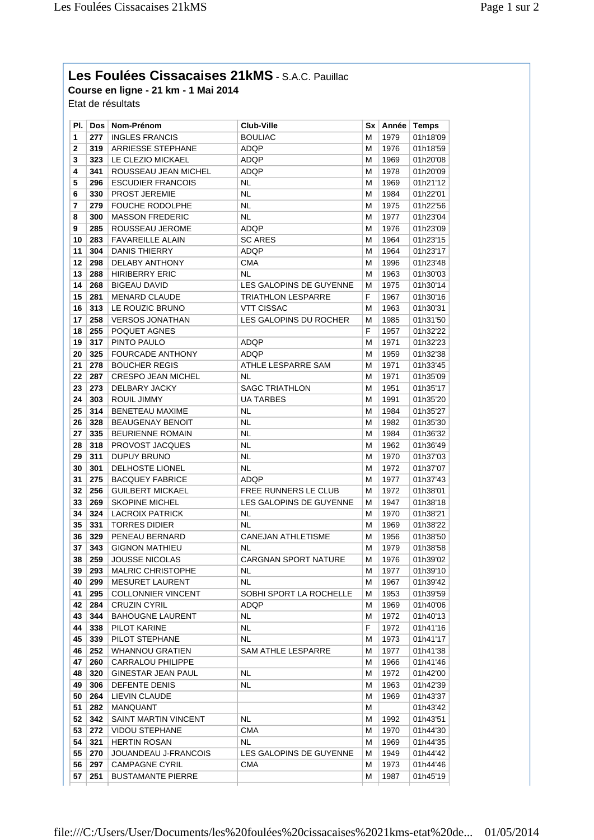## **Les Foulées Cissacaises 21kMS** - S.A.C. Pauillac

**Course en ligne - 21 km - 1 Mai 2014** Etat de résultats

| PI. I |     | Dos   Nom-Prénom          | <b>Club-Ville</b>         |    | Sx   Année   Temps |          |
|-------|-----|---------------------------|---------------------------|----|--------------------|----------|
| 1     | 277 | <b>INGLES FRANCIS</b>     | <b>BOULIAC</b>            | м  | 1979               | 01h18'09 |
| 2     | 319 | <b>ARRIESSE STEPHANE</b>  | ADQP                      | М  | 1976               | 01h18'59 |
| 3     | 323 | LE CLEZIO MICKAEL         | ADQP                      | Μ  | 1969               | 01h20'08 |
| 4     | 341 | ROUSSEAU JEAN MICHEL      | ADQP                      | M  | 1978               | 01h20'09 |
| 5     | 296 | <b>ESCUDIER FRANCOIS</b>  | NL                        | М  | 1969               | 01h21'12 |
| 6     | 330 | <b>PROST JEREMIE</b>      | NL                        | M  | 1984               | 01h22'01 |
| 7     | 279 | <b>FOUCHE RODOLPHE</b>    | NL                        | Μ  | 1975               | 01h22'56 |
| 8     | 300 | <b>MASSON FREDERIC</b>    | NL                        | M  | 1977               | 01h23'04 |
| 9     | 285 | ROUSSEAU JEROME           | ADQP                      | M  | 1976               | 01h23'09 |
| 10    | 283 | <b>FAVAREILLE ALAIN</b>   | <b>SC ARES</b>            | M  | 1964               | 01h23'15 |
| 11    | 304 | DANIS THIERRY             | ADQP                      | M  | 1964               | 01h23'17 |
| 12    | 298 | DELABY ANTHONY            | CMA                       | M  | 1996               | 01h23'48 |
| 13    | 288 | <b>HIRIBERRY ERIC</b>     | NL                        | М  | 1963               | 01h30'03 |
| 14    | 268 | <b>BIGEAU DAVID</b>       | LES GALOPINS DE GUYENNE   | М  | 1975               | 01h30'14 |
| 15    | 281 | <b>MENARD CLAUDE</b>      | <b>TRIATHLON LESPARRE</b> | F  | 1967               | 01h30'16 |
| 16    | 313 | LE ROUZIC BRUNO           | <b>VTT CISSAC</b>         | М  | 1963               | 01h30'31 |
| 17    | 258 | <b>VERSOS JONATHAN</b>    | LES GALOPINS DU ROCHER    | M  | 1985               | 01h31'50 |
| 18    | 255 | POQUET AGNES              |                           | F  | 1957               | 01h32'22 |
| 19    | 317 | PINTO PAULO               | ADQP                      | M  | 1971               | 01h32'23 |
| 20    | 325 | <b>FOURCADE ANTHONY</b>   | ADQP                      | Μ  | 1959               | 01h32'38 |
| 21    | 278 | <b>BOUCHER REGIS</b>      | ATHLE LESPARRE SAM        | Μ  | 1971               | 01h33'45 |
| 22    | 287 | <b>CRESPO JEAN MICHEL</b> | <b>NL</b>                 | М  | 1971               | 01h35'09 |
| 23    | 273 | DELBARY JACKY             | <b>SAGC TRIATHLON</b>     | Μ  | 1951               | 01h35'17 |
| 24    | 303 | ROUIL JIMMY               | <b>UA TARBES</b>          | М  | 1991               | 01h35'20 |
| 25    | 314 | <b>BENETEAU MAXIME</b>    | <b>NL</b>                 | М  | 1984               | 01h35'27 |
| 26    | 328 | <b>BEAUGENAY BENOIT</b>   | NL                        | M  | 1982               | 01h35'30 |
| 27    | 335 | <b>BEURIENNE ROMAIN</b>   | NL                        | M  | 1984               | 01h36'32 |
| 28    | 318 | PROVOST JACQUES           | NL                        | Μ  | 1962               | 01h36'49 |
| 29    | 311 | DUPUY BRUNO               | NL                        | Μ  | 1970               | 01h37'03 |
| 30    | 301 | <b>DELHOSTE LIONEL</b>    | NL                        | M  | 1972               | 01h37'07 |
| 31    | 275 | <b>BACQUEY FABRICE</b>    | ADQP                      | Μ  | 1977               | 01h37'43 |
| 32    | 256 | <b>GUILBERT MICKAEL</b>   | FREE RUNNERS LE CLUB      | М  | 1972               | 01h38'01 |
| 33    | 269 | <b>SKOPINE MICHEL</b>     | LES GALOPINS DE GUYENNE   | М  | 1947               | 01h38'18 |
| 34    | 324 | <b>LACROIX PATRICK</b>    | NL                        | М  | 1970               | 01h38'21 |
| 35    | 331 | <b>TORRES DIDIER</b>      | NL                        | М  | 1969               | 01h38'22 |
| 36    | 329 | PENEAU BERNARD            | <b>CANEJAN ATHLETISME</b> | Μ  | 1956               | 01h38'50 |
| 37    | 343 | <b>GIGNON MATHIEU</b>     | NL                        | М  | 1979               | 01h38'58 |
| 38    | 259 | <b>JOUSSE NICOLAS</b>     | CARGNAN SPORT NATURE      | М  | 1976               | 01h39'02 |
| 39    | 293 | MALRIC CHRISTOPHE         | NL                        | М  | 1977               | 01h39'10 |
| 40    | 299 | <b>MESURET LAURENT</b>    | NL.                       | М  | 1967               | 01h39'42 |
| 41    | 295 | <b>COLLONNIER VINCENT</b> | SOBHI SPORT LA ROCHELLE   | М  | 1953               | 01h39'59 |
| 42    | 284 | <b>CRUZIN CYRIL</b>       | ADQP                      | М  | 1969               | 01h40'06 |
| 43    | 344 | <b>BAHOUGNE LAURENT</b>   | NL                        | Μ  | 1972               | 01h40'13 |
| 44    | 338 | PILOT KARINE              | NL                        | F. | 1972               | 01h41'16 |
| 45    | 339 | PILOT STEPHANE            | NL                        | М  | 1973               | 01h41'17 |
| 46    | 252 | <b>WHANNOU GRATIEN</b>    | SAM ATHLE LESPARRE        | м  | 1977               | 01h41'38 |
| 47    | 260 | <b>CARRALOU PHILIPPE</b>  |                           | Μ  | 1966               | 01h41'46 |
| 48    | 320 | <b>GINESTAR JEAN PAUL</b> | NL                        | м  | 1972               | 01h42'00 |
| 49    | 306 | DEFENTE DENIS             | NL                        | м  | 1963               | 01h42'39 |
| 50    | 264 | LIEVIN CLAUDE             |                           | Μ  | 1969               | 01h43'37 |
| 51    | 282 | MANQUANT                  |                           | М  |                    | 01h43'42 |
| 52    | 342 | SAINT MARTIN VINCENT      | NL                        | м  | 1992               | 01h43'51 |
| 53    | 272 | <b>VIDOU STEPHANE</b>     | <b>CMA</b>                | м  | 1970               | 01h44'30 |
| 54    | 321 | HERTIN ROSAN              | NL                        | м  | 1969               | 01h44'35 |
| 55    | 270 | JOUANDEAU J-FRANCOIS      | LES GALOPINS DE GUYENNE   | М  | 1949               | 01h44'42 |
| 56    | 297 | <b>CAMPAGNE CYRIL</b>     | <b>CMA</b>                | м  | 1973               | 01h44'46 |
| 57    | 251 | <b>BUSTAMANTE PIERRE</b>  |                           | М  | 1987               | 01h45'19 |